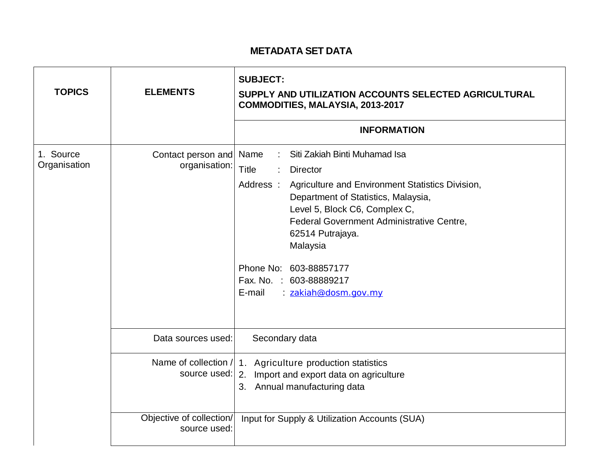## **METADATA SET DATA**

| <b>TOPICS</b>             | <b>ELEMENTS</b>                          | <b>SUBJECT:</b><br>SUPPLY AND UTILIZATION ACCOUNTS SELECTED AGRICULTURAL<br>COMMODITIES, MALAYSIA, 2013-2017                                                                                                                                                                                                                                                                         |  |  |  |
|---------------------------|------------------------------------------|--------------------------------------------------------------------------------------------------------------------------------------------------------------------------------------------------------------------------------------------------------------------------------------------------------------------------------------------------------------------------------------|--|--|--|
|                           |                                          | <b>INFORMATION</b>                                                                                                                                                                                                                                                                                                                                                                   |  |  |  |
| 1. Source<br>Organisation | Contact person and<br>organisation:      | Siti Zakiah Binti Muhamad Isa<br>Name<br><b>Title</b><br><b>Director</b><br>Address:<br>Agriculture and Environment Statistics Division,<br>Department of Statistics, Malaysia,<br>Level 5, Block C6, Complex C,<br>Federal Government Administrative Centre,<br>62514 Putrajaya.<br>Malaysia<br>Phone No: 603-88857177<br>Fax. No. : 603-88889217<br>E-mail<br>: zakiah@dosm.gov.my |  |  |  |
|                           | Data sources used:                       | Secondary data                                                                                                                                                                                                                                                                                                                                                                       |  |  |  |
|                           | source used:                             | Name of collection / 1. Agriculture production statistics<br>2. Import and export data on agriculture<br>3. Annual manufacturing data                                                                                                                                                                                                                                                |  |  |  |
|                           | Objective of collection/<br>source used: | Input for Supply & Utilization Accounts (SUA)                                                                                                                                                                                                                                                                                                                                        |  |  |  |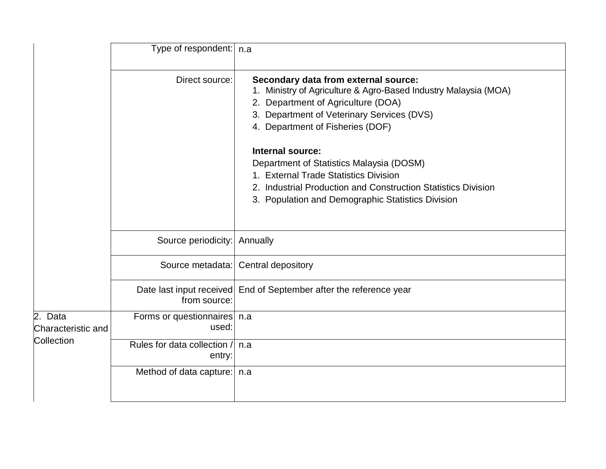|                                             | Type of respondent:   n.a                |                                                                                                                                                                                                                                 |
|---------------------------------------------|------------------------------------------|---------------------------------------------------------------------------------------------------------------------------------------------------------------------------------------------------------------------------------|
|                                             | Direct source:                           | Secondary data from external source:<br>Ministry of Agriculture & Agro-Based Industry Malaysia (MOA)<br>Department of Agriculture (DOA)<br>2.<br>3. Department of Veterinary Services (DVS)<br>4. Department of Fisheries (DOF) |
|                                             |                                          | Internal source:<br>Department of Statistics Malaysia (DOSM)<br>1. External Trade Statistics Division<br>2. Industrial Production and Construction Statistics Division<br>3. Population and Demographic Statistics Division     |
|                                             | Source periodicity:                      | Annually                                                                                                                                                                                                                        |
|                                             | Source metadata:                         | Central depository                                                                                                                                                                                                              |
|                                             | Date last input received<br>from source: | End of September after the reference year                                                                                                                                                                                       |
| 2. Data<br>Characteristic and<br>Collection | Forms or questionnaires   n.a<br>used:   |                                                                                                                                                                                                                                 |
|                                             | Rules for data collection /<br>entry:    | n.a                                                                                                                                                                                                                             |
|                                             | Method of data capture:                  | n.a                                                                                                                                                                                                                             |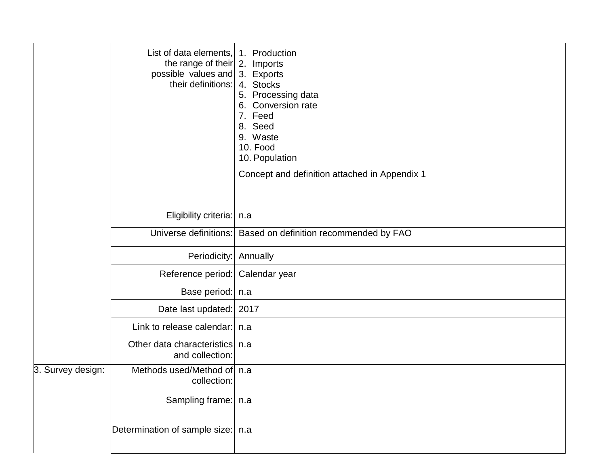|                   | List of data elements,<br>the range of their $\vert$ 2. Imports<br>possible values and 3. Exports<br>their definitions: | 1. Production<br>4. Stocks<br>5. Processing data<br>Conversion rate<br>6.<br>7. Feed<br>8. Seed<br>9. Waste<br>10. Food<br>10. Population<br>Concept and definition attached in Appendix 1 |
|-------------------|-------------------------------------------------------------------------------------------------------------------------|--------------------------------------------------------------------------------------------------------------------------------------------------------------------------------------------|
|                   | Eligibility criteria:   n.a                                                                                             |                                                                                                                                                                                            |
|                   | Universe definitions:                                                                                                   | Based on definition recommended by FAO                                                                                                                                                     |
|                   | Periodicity:                                                                                                            | Annually                                                                                                                                                                                   |
|                   | Reference period:   Calendar year                                                                                       |                                                                                                                                                                                            |
|                   | Base period:   n.a                                                                                                      |                                                                                                                                                                                            |
|                   | Date last updated: 2017                                                                                                 |                                                                                                                                                                                            |
|                   | Link to release calendar:   n.a                                                                                         |                                                                                                                                                                                            |
|                   | Other data characteristics<br>and collection:                                                                           | n.a                                                                                                                                                                                        |
| 3. Survey design: | Methods used/Method of   n.a<br>collection:                                                                             |                                                                                                                                                                                            |
|                   | Sampling frame:   n.a                                                                                                   |                                                                                                                                                                                            |
|                   | Determination of sample size:   n.a                                                                                     |                                                                                                                                                                                            |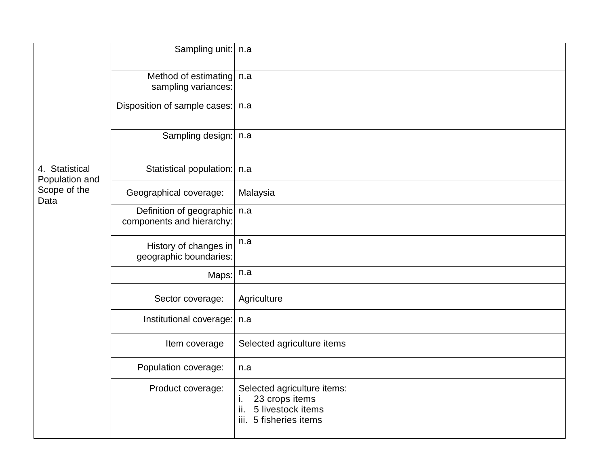|                                                          | Sampling unit:                                        | n.a                                                                                                          |
|----------------------------------------------------------|-------------------------------------------------------|--------------------------------------------------------------------------------------------------------------|
|                                                          | Method of estimating<br>sampling variances:           | n.a                                                                                                          |
|                                                          | Disposition of sample cases:   n.a                    |                                                                                                              |
|                                                          | Sampling design:   n.a                                |                                                                                                              |
| 4. Statistical<br>Population and<br>Scope of the<br>Data | Statistical population:   n.a                         |                                                                                                              |
|                                                          | Geographical coverage:                                | Malaysia                                                                                                     |
|                                                          | Definition of geographic<br>components and hierarchy: | n.a                                                                                                          |
|                                                          | History of changes in<br>geographic boundaries:       | n.a                                                                                                          |
|                                                          | Maps:                                                 | n.a                                                                                                          |
|                                                          | Sector coverage:                                      | Agriculture                                                                                                  |
|                                                          | Institutional coverage:                               | n.a                                                                                                          |
|                                                          | Item coverage                                         | Selected agriculture items                                                                                   |
|                                                          | Population coverage:                                  | n.a                                                                                                          |
|                                                          | Product coverage:                                     | Selected agriculture items:<br>23 crops items<br>т.<br>ii.<br>5 livestock items<br>5 fisheries items<br>iii. |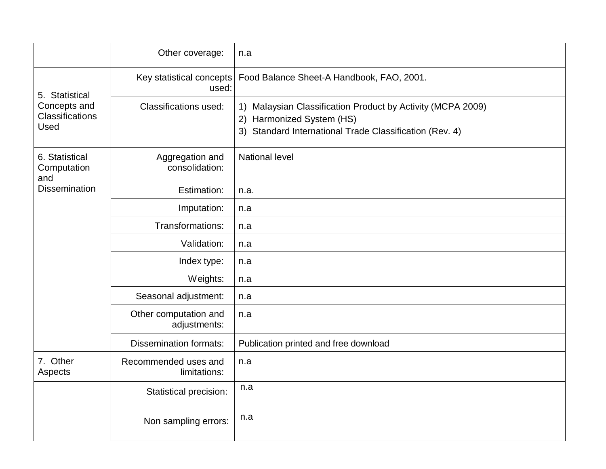|                                                              | Other coverage:                       | n.a                                                                                                                                                    |  |
|--------------------------------------------------------------|---------------------------------------|--------------------------------------------------------------------------------------------------------------------------------------------------------|--|
| 5. Statistical<br>Concepts and<br>Classifications<br>Used    | Key statistical concepts<br>used:     | Food Balance Sheet-A Handbook, FAO, 2001.                                                                                                              |  |
|                                                              | <b>Classifications used:</b>          | 1) Malaysian Classification Product by Activity (MCPA 2009)<br>Harmonized System (HS)<br>2)<br>3) Standard International Trade Classification (Rev. 4) |  |
| 6. Statistical<br>Computation<br>and<br><b>Dissemination</b> | Aggregation and<br>consolidation:     | <b>National level</b>                                                                                                                                  |  |
|                                                              | Estimation:                           | n.a.                                                                                                                                                   |  |
|                                                              | Imputation:                           | n.a                                                                                                                                                    |  |
|                                                              | Transformations:                      | n.a                                                                                                                                                    |  |
|                                                              | Validation:                           | n.a                                                                                                                                                    |  |
|                                                              | Index type:                           | n.a                                                                                                                                                    |  |
|                                                              | Weights:                              | n.a                                                                                                                                                    |  |
|                                                              | Seasonal adjustment:                  | n.a                                                                                                                                                    |  |
|                                                              | Other computation and<br>adjustments: | n.a                                                                                                                                                    |  |
|                                                              | <b>Dissemination formats:</b>         | Publication printed and free download                                                                                                                  |  |
| 7. Other<br>Aspects                                          | Recommended uses and<br>limitations:  | n.a                                                                                                                                                    |  |
|                                                              | Statistical precision:                | n.a                                                                                                                                                    |  |
|                                                              | Non sampling errors:                  | n.a                                                                                                                                                    |  |